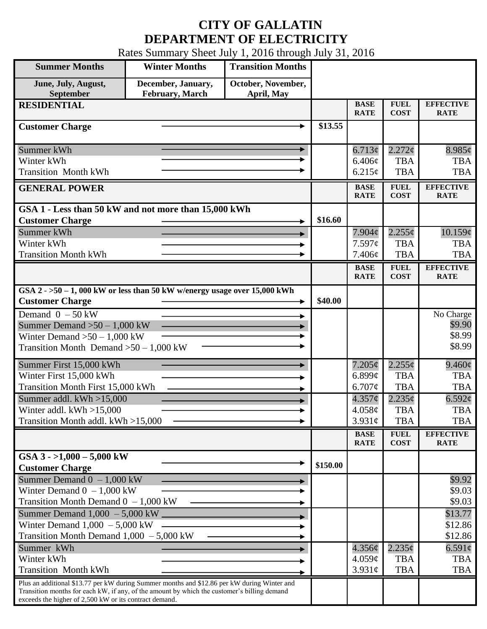## **CITY OF GALLATIN DEPARTMENT OF ELECTRICITY**

Rates Summary Sheet July 1, 2016 through July 31, 2016

| <b>Summer Months</b>                                                                                                                                                                                                                                 | <b>Winter Months</b>                         | <b>Transition Months</b>         |          |                            |                            |                                 |
|------------------------------------------------------------------------------------------------------------------------------------------------------------------------------------------------------------------------------------------------------|----------------------------------------------|----------------------------------|----------|----------------------------|----------------------------|---------------------------------|
| June, July, August,<br>September                                                                                                                                                                                                                     | December, January,<br><b>February, March</b> | October, November,<br>April, May |          |                            |                            |                                 |
| <b>RESIDENTIAL</b>                                                                                                                                                                                                                                   |                                              |                                  |          | <b>BASE</b><br><b>RATE</b> | <b>FUEL</b><br><b>COST</b> | <b>EFFECTIVE</b><br><b>RATE</b> |
| <b>Customer Charge</b>                                                                                                                                                                                                                               |                                              |                                  | \$13.55  |                            |                            |                                 |
| Summer kWh                                                                                                                                                                                                                                           |                                              |                                  |          | 6.713¢                     | $2.272$ ¢                  | $8.985\phi$                     |
| Winter kWh                                                                                                                                                                                                                                           |                                              |                                  |          | 6.406¢                     | <b>TBA</b>                 | <b>TBA</b>                      |
| <b>Transition Month kWh</b>                                                                                                                                                                                                                          |                                              |                                  |          | 6.215¢                     | <b>TBA</b>                 | <b>TBA</b>                      |
| <b>GENERAL POWER</b>                                                                                                                                                                                                                                 |                                              |                                  |          | <b>BASE</b><br><b>RATE</b> | <b>FUEL</b><br><b>COST</b> | <b>EFFECTIVE</b><br><b>RATE</b> |
| GSA 1 - Less than 50 kW and not more than 15,000 kWh                                                                                                                                                                                                 |                                              |                                  |          |                            |                            |                                 |
| <b>Customer Charge</b>                                                                                                                                                                                                                               |                                              |                                  | \$16.60  |                            |                            |                                 |
| Summer kWh                                                                                                                                                                                                                                           |                                              |                                  |          | $7.904\mathcal{C}$         | $2.255\phi$                | 10.159¢                         |
| Winter kWh                                                                                                                                                                                                                                           |                                              |                                  |          | 7.597c                     | <b>TBA</b>                 | <b>TBA</b>                      |
| <b>Transition Month kWh</b>                                                                                                                                                                                                                          |                                              |                                  |          | 7.406¢                     | <b>TBA</b>                 | <b>TBA</b>                      |
|                                                                                                                                                                                                                                                      |                                              |                                  |          | <b>BASE</b><br><b>RATE</b> | <b>FUEL</b><br><b>COST</b> | <b>EFFECTIVE</b><br><b>RATE</b> |
| GSA $2 - 50 - 1$ , 000 kW or less than 50 kW w/energy usage over 15,000 kWh                                                                                                                                                                          |                                              |                                  |          |                            |                            |                                 |
| <b>Customer Charge</b>                                                                                                                                                                                                                               |                                              |                                  | \$40.00  |                            |                            |                                 |
| Demand $0 - 50$ kW                                                                                                                                                                                                                                   |                                              |                                  |          |                            |                            | No Charge                       |
| Summer Demand $>50-1,000$ kW                                                                                                                                                                                                                         |                                              |                                  |          |                            |                            | \$9.90                          |
| Winter Demand $>50-1,000$ kW                                                                                                                                                                                                                         |                                              |                                  |          |                            |                            | \$8.99                          |
| Transition Month Demand $>50-1,000$ kW                                                                                                                                                                                                               |                                              |                                  |          |                            |                            | \$8.99                          |
| Summer First 15,000 kWh                                                                                                                                                                                                                              |                                              |                                  |          | $7.205\phi$                | $2.255\phi$                | $9.460\varphi$                  |
| Winter First 15,000 kWh                                                                                                                                                                                                                              |                                              |                                  |          | 6.899 $\mathfrak{c}$       | <b>TBA</b>                 | <b>TBA</b>                      |
| <b>Transition Month First 15,000 kWh</b>                                                                                                                                                                                                             |                                              |                                  |          | 6.707¢                     | <b>TBA</b>                 | <b>TBA</b>                      |
| Summer addl. $kWh > 15,000$                                                                                                                                                                                                                          |                                              |                                  |          | $4.357\phi$                | $2.235\phi$                | $6.592\epsilon$                 |
| Winter addl. $kWh > 15,000$                                                                                                                                                                                                                          |                                              |                                  |          | 4.058¢                     | <b>TBA</b>                 | <b>TBA</b>                      |
| Transition Month addl. kWh >15,000                                                                                                                                                                                                                   |                                              |                                  |          | $3.931\circ$               | <b>TBA</b>                 | <b>TBA</b>                      |
|                                                                                                                                                                                                                                                      |                                              |                                  |          | <b>BASE</b><br><b>RATE</b> | <b>FUEL</b><br><b>COST</b> | <b>EFFECTIVE</b><br><b>RATE</b> |
| GSA $3 - 1,000 - 5,000$ kW                                                                                                                                                                                                                           |                                              |                                  |          |                            |                            |                                 |
| <b>Customer Charge</b>                                                                                                                                                                                                                               |                                              |                                  | \$150.00 |                            |                            |                                 |
| Summer Demand $0 - 1,000$ kW                                                                                                                                                                                                                         |                                              |                                  |          |                            |                            | \$9.92                          |
| Winter Demand $0 - 1,000$ kW                                                                                                                                                                                                                         |                                              |                                  |          |                            |                            | \$9.03                          |
| Transition Month Demand $0 - 1,000$ kW                                                                                                                                                                                                               |                                              |                                  |          |                            |                            | \$9.03                          |
|                                                                                                                                                                                                                                                      |                                              |                                  |          |                            |                            | \$13.77                         |
| Winter Demand $1,000 - 5,000$ kW                                                                                                                                                                                                                     |                                              |                                  |          |                            |                            | \$12.86                         |
| Transition Month Demand $1,000 - 5,000$ kW                                                                                                                                                                                                           |                                              |                                  |          |                            |                            | \$12.86                         |
| Summer kWh                                                                                                                                                                                                                                           |                                              |                                  |          | $4.356\phi$                | $2.235\phi$                | 6.591 $\phi$                    |
| Winter kWh                                                                                                                                                                                                                                           |                                              |                                  |          | 4.059¢                     | <b>TBA</b>                 | <b>TBA</b>                      |
| <b>Transition Month kWh</b>                                                                                                                                                                                                                          |                                              |                                  |          | $3.931\phi$                | <b>TBA</b>                 | <b>TBA</b>                      |
| Plus an additional \$13.77 per kW during Summer months and \$12.86 per kW during Winter and<br>Transition months for each kW, if any, of the amount by which the customer's billing demand<br>exceeds the higher of 2,500 kW or its contract demand. |                                              |                                  |          |                            |                            |                                 |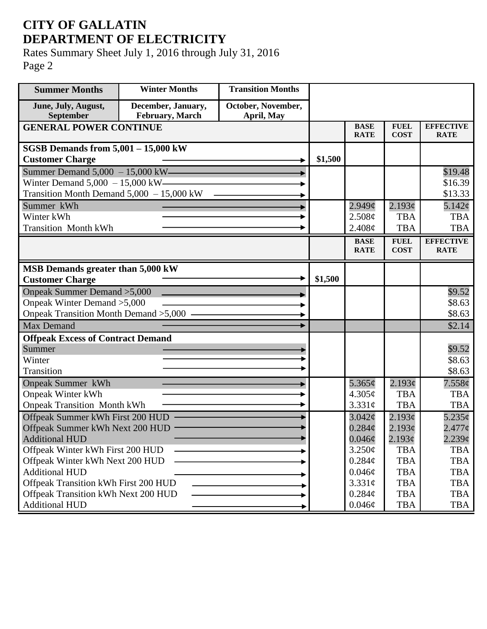## **CITY OF GALLATIN DEPARTMENT OF ELECTRICITY**

Rates Summary Sheet July 1, 2016 through July 31, 2016 Page 2

| <b>Summer Months</b>                       | <b>Winter Months</b>                  | <b>Transition Months</b>         |         |                            |                            |                                 |
|--------------------------------------------|---------------------------------------|----------------------------------|---------|----------------------------|----------------------------|---------------------------------|
| June, July, August,<br><b>September</b>    | December, January,<br>February, March | October, November,<br>April, May |         |                            |                            |                                 |
| <b>GENERAL POWER CONTINUE</b>              |                                       |                                  |         | <b>BASE</b><br><b>RATE</b> | <b>FUEL</b><br><b>COST</b> | <b>EFFECTIVE</b><br><b>RATE</b> |
| <b>SGSB Demands from 5,001 - 15,000 kW</b> |                                       |                                  |         |                            |                            |                                 |
| <b>Customer Charge</b>                     |                                       |                                  | \$1,500 |                            |                            |                                 |
| Summer Demand $5,000 - 15,000$ kW-         |                                       |                                  |         |                            |                            | \$19.48                         |
| Winter Demand $5,000 - 15,000$ kW-         |                                       |                                  |         |                            |                            | \$16.39                         |
| Transition Month Demand 5,000 - 15,000 kW  |                                       |                                  |         |                            |                            | \$13.33                         |
| Summer kWh                                 |                                       |                                  |         | $2.949\mathcal{C}$         | 2.193¢                     | $5.142\varphi$                  |
| Winter kWh                                 |                                       |                                  |         | 2.508¢                     | <b>TBA</b>                 | <b>TBA</b>                      |
| <b>Transition Month kWh</b>                |                                       |                                  |         | 2.408¢                     | <b>TBA</b>                 | <b>TBA</b>                      |
|                                            |                                       |                                  |         | <b>BASE</b><br><b>RATE</b> | <b>FUEL</b><br><b>COST</b> | <b>EFFECTIVE</b><br><b>RATE</b> |
|                                            |                                       |                                  |         |                            |                            |                                 |
| MSB Demands greater than 5,000 kW          |                                       |                                  |         |                            |                            |                                 |
| <b>Customer Charge</b>                     |                                       |                                  | \$1,500 |                            |                            |                                 |
| Onpeak Summer Demand > 5,000               |                                       |                                  |         |                            |                            | \$9.52                          |
| Onpeak Winter Demand > 5,000               |                                       |                                  |         |                            |                            | \$8.63                          |
| Onpeak Transition Month Demand > 5,000 -   |                                       |                                  |         |                            |                            | \$8.63                          |
| <b>Max Demand</b>                          |                                       |                                  |         |                            |                            | \$2.14                          |
| <b>Offpeak Excess of Contract Demand</b>   |                                       |                                  |         |                            |                            |                                 |
| Summer                                     |                                       |                                  |         |                            |                            | \$9.52                          |
| Winter                                     |                                       |                                  |         |                            |                            | \$8.63                          |
| Transition                                 |                                       |                                  |         |                            |                            | \$8.63                          |
| <b>Onpeak Summer kWh</b>                   |                                       |                                  |         | 5.365 $\phi$               | 2.193¢                     | 7.558¢                          |
| <b>Onpeak Winter kWh</b>                   |                                       |                                  |         | 4.305¢                     | <b>TBA</b>                 | <b>TBA</b>                      |
| <b>Onpeak Transition Month kWh</b>         |                                       |                                  |         | 3.331c                     | <b>TBA</b>                 | <b>TBA</b>                      |
| Offpeak Summer kWh First 200 HUD           |                                       |                                  |         | $3.042\phi$                | 2.193¢                     | $5.235\sigma$                   |
| Offpeak Summer kWh Next 200 HUD            |                                       |                                  |         | $0.284\mathcal{C}$         | 2.193¢                     | $2.477$ ¢                       |
| <b>Additional HUD</b>                      |                                       |                                  |         | $0.046\phi$                | 2.193¢                     | $2.239$ ¢                       |
| Offpeak Winter kWh First 200 HUD           |                                       |                                  |         | $3.250\phi$                | <b>TBA</b>                 | <b>TBA</b>                      |
| Offpeak Winter kWh Next 200 HUD            |                                       |                                  |         | $0.284\phi$                | <b>TBA</b>                 | <b>TBA</b>                      |
| <b>Additional HUD</b>                      |                                       |                                  |         | $0.046\phi$                | <b>TBA</b>                 | <b>TBA</b>                      |
| Offpeak Transition kWh First 200 HUD       |                                       |                                  |         | 3.331¢                     | <b>TBA</b>                 | <b>TBA</b>                      |
| Offpeak Transition kWh Next 200 HUD        |                                       |                                  |         | $0.284\phi$                | <b>TBA</b>                 | <b>TBA</b>                      |
| <b>Additional HUD</b>                      |                                       |                                  |         | $0.046\phi$                | <b>TBA</b>                 | TBA                             |